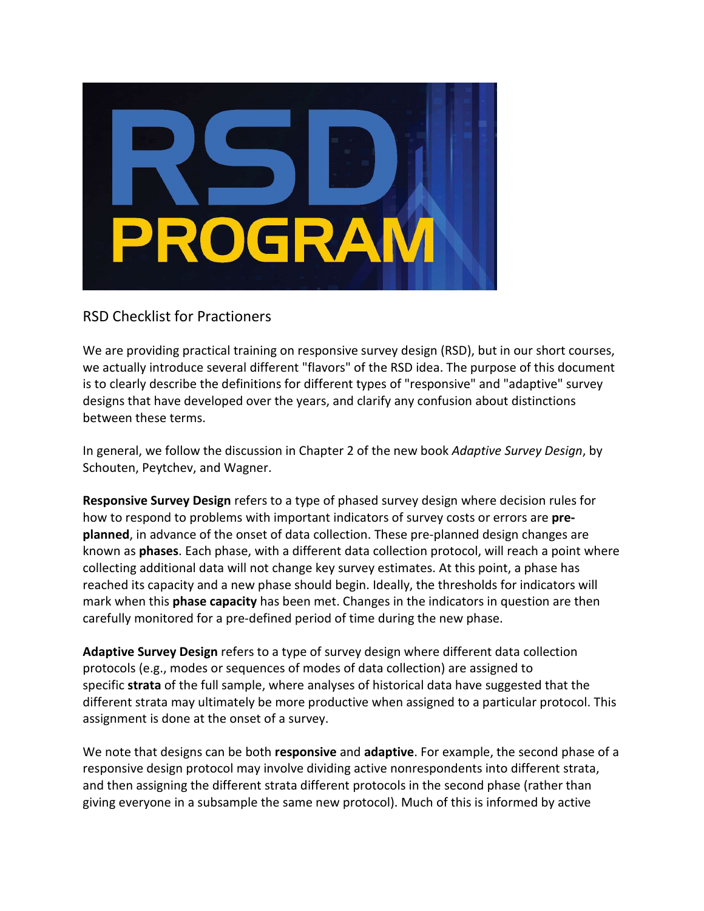

# RSD Checklist for Practioners

We are providing practical training on responsive survey design (RSD), but in our short courses, we actually introduce several different "flavors" of the RSD idea. The purpose of this document is to clearly describe the definitions for different types of "responsive" and "adaptive" survey designs that have developed over the years, and clarify any confusion about distinctions between these terms.

In general, we follow the discussion in Chapter 2 of the new book *Adaptive Survey Design*, by Schouten, Peytchev, and Wagner.

**Responsive Survey Design** refers to a type of phased survey design where decision rules for how to respond to problems with important indicators of survey costs or errors are **preplanned**, in advance of the onset of data collection. These pre-planned design changes are known as **phases**. Each phase, with a different data collection protocol, will reach a point where collecting additional data will not change key survey estimates. At this point, a phase has reached its capacity and a new phase should begin. Ideally, the thresholds for indicators will mark when this **phase capacity** has been met. Changes in the indicators in question are then carefully monitored for a pre-defined period of time during the new phase.

**Adaptive Survey Design** refers to a type of survey design where different data collection protocols (e.g., modes or sequences of modes of data collection) are assigned to specific **strata** of the full sample, where analyses of historical data have suggested that the different strata may ultimately be more productive when assigned to a particular protocol. This assignment is done at the onset of a survey.

We note that designs can be both **responsive** and **adaptive**. For example, the second phase of a responsive design protocol may involve dividing active nonrespondents into different strata, and then assigning the different strata different protocols in the second phase (rather than giving everyone in a subsample the same new protocol). Much of this is informed by active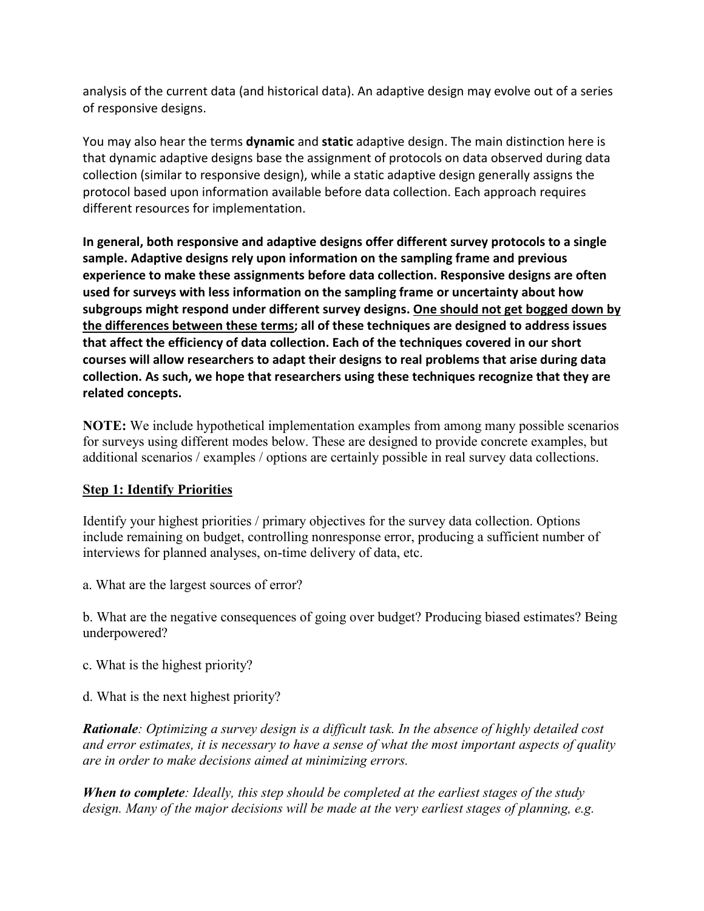analysis of the current data (and historical data). An adaptive design may evolve out of a series of responsive designs.

You may also hear the terms **dynamic** and **static** adaptive design. The main distinction here is that dynamic adaptive designs base the assignment of protocols on data observed during data collection (similar to responsive design), while a static adaptive design generally assigns the protocol based upon information available before data collection. Each approach requires different resources for implementation.

**In general, both responsive and adaptive designs offer different survey protocols to a single sample. Adaptive designs rely upon information on the sampling frame and previous experience to make these assignments before data collection. Responsive designs are often used for surveys with less information on the sampling frame or uncertainty about how subgroups might respond under different survey designs. One should not get bogged down by the differences between these terms; all of these techniques are designed to address issues that affect the efficiency of data collection. Each of the techniques covered in our short courses will allow researchers to adapt their designs to real problems that arise during data collection. As such, we hope that researchers using these techniques recognize that they are related concepts.**

**NOTE:** We include hypothetical implementation examples from among many possible scenarios for surveys using different modes below. These are designed to provide concrete examples, but additional scenarios / examples / options are certainly possible in real survey data collections.

## **Step 1: Identify Priorities**

Identify your highest priorities / primary objectives for the survey data collection. Options include remaining on budget, controlling nonresponse error, producing a sufficient number of interviews for planned analyses, on-time delivery of data, etc.

a. What are the largest sources of error?

b. What are the negative consequences of going over budget? Producing biased estimates? Being underpowered?

- c. What is the highest priority?
- d. What is the next highest priority?

*Rationale: Optimizing a survey design is a difficult task. In the absence of highly detailed cost and error estimates, it is necessary to have a sense of what the most important aspects of quality are in order to make decisions aimed at minimizing errors.*

*When to complete: Ideally, this step should be completed at the earliest stages of the study design. Many of the major decisions will be made at the very earliest stages of planning, e.g.*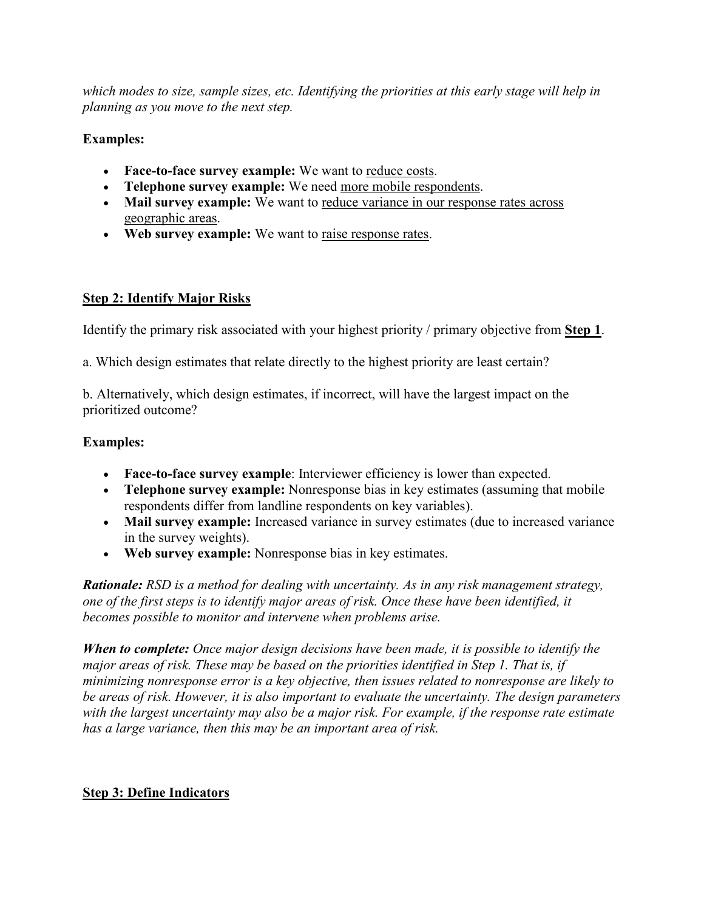*which modes to size, sample sizes, etc. Identifying the priorities at this early stage will help in planning as you move to the next step.*

## **Examples:**

- **Face-to-face survey example:** We want to reduce costs.
- **Telephone survey example:** We need more mobile respondents.
- **Mail survey example:** We want to reduce variance in our response rates across geographic areas.
- Web survey example: We want to raise response rates.

# **Step 2: Identify Major Risks**

Identify the primary risk associated with your highest priority / primary objective from **Step 1**.

a. Which design estimates that relate directly to the highest priority are least certain?

b. Alternatively, which design estimates, if incorrect, will have the largest impact on the prioritized outcome?

# **Examples:**

- **Face-to-face survey example**: Interviewer efficiency is lower than expected.
- **Telephone survey example:** Nonresponse bias in key estimates (assuming that mobile respondents differ from landline respondents on key variables).
- Mail survey example: Increased variance in survey estimates (due to increased variance in the survey weights).
- **Web survey example:** Nonresponse bias in key estimates.

*Rationale: RSD is a method for dealing with uncertainty. As in any risk management strategy, one of the first steps is to identify major areas of risk. Once these have been identified, it becomes possible to monitor and intervene when problems arise.*

*When to complete: Once major design decisions have been made, it is possible to identify the major areas of risk. These may be based on the priorities identified in Step 1. That is, if minimizing nonresponse error is a key objective, then issues related to nonresponse are likely to be areas of risk. However, it is also important to evaluate the uncertainty. The design parameters with the largest uncertainty may also be a major risk. For example, if the response rate estimate has a large variance, then this may be an important area of risk.*

# **Step 3: Define Indicators**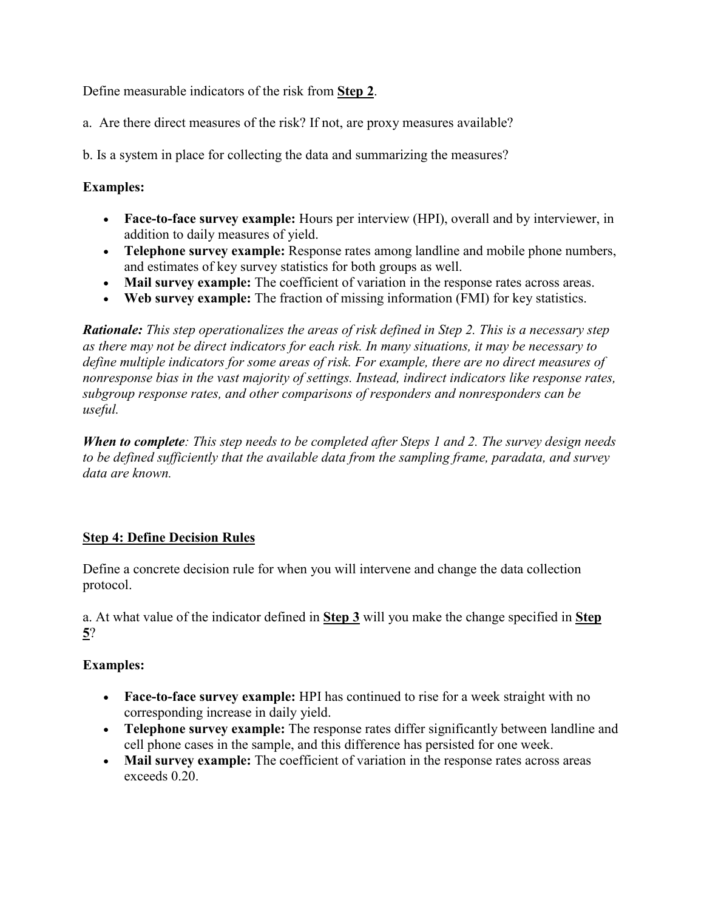Define measurable indicators of the risk from **Step 2**.

a. Are there direct measures of the risk? If not, are proxy measures available?

b. Is a system in place for collecting the data and summarizing the measures?

## **Examples:**

- **Face-to-face survey example:** Hours per interview (HPI), overall and by interviewer, in addition to daily measures of yield.
- **Telephone survey example:** Response rates among landline and mobile phone numbers, and estimates of key survey statistics for both groups as well.
- **Mail survey example:** The coefficient of variation in the response rates across areas.
- **Web survey example:** The fraction of missing information (FMI) for key statistics.

*Rationale: This step operationalizes the areas of risk defined in Step 2. This is a necessary step as there may not be direct indicators for each risk. In many situations, it may be necessary to define multiple indicators for some areas of risk. For example, there are no direct measures of nonresponse bias in the vast majority of settings. Instead, indirect indicators like response rates, subgroup response rates, and other comparisons of responders and nonresponders can be useful.*

*When to complete: This step needs to be completed after Steps 1 and 2. The survey design needs to be defined sufficiently that the available data from the sampling frame, paradata, and survey data are known.*

## **Step 4: Define Decision Rules**

Define a concrete decision rule for when you will intervene and change the data collection protocol.

a. At what value of the indicator defined in **Step 3** will you make the change specified in **Step 5**?

## **Examples:**

- **Face-to-face survey example:** HPI has continued to rise for a week straight with no corresponding increase in daily yield.
- **Telephone survey example:** The response rates differ significantly between landline and cell phone cases in the sample, and this difference has persisted for one week.
- Mail survey example: The coefficient of variation in the response rates across areas exceeds 0.20.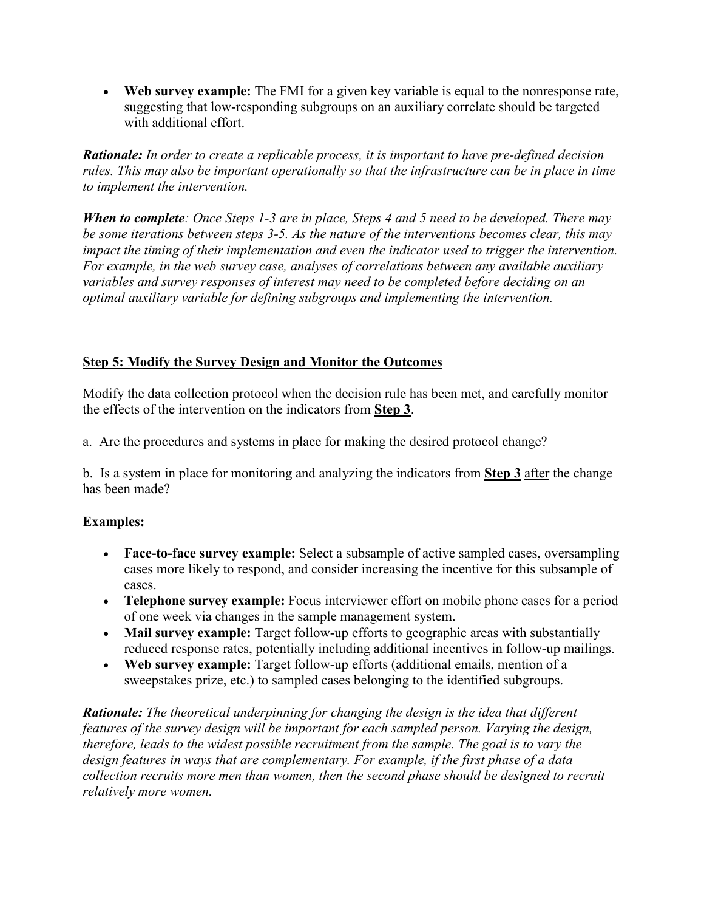• **Web survey example:** The FMI for a given key variable is equal to the nonresponse rate, suggesting that low-responding subgroups on an auxiliary correlate should be targeted with additional effort.

*Rationale: In order to create a replicable process, it is important to have pre-defined decision rules. This may also be important operationally so that the infrastructure can be in place in time to implement the intervention.*

*When to complete: Once Steps 1-3 are in place, Steps 4 and 5 need to be developed. There may be some iterations between steps 3-5. As the nature of the interventions becomes clear, this may impact the timing of their implementation and even the indicator used to trigger the intervention. For example, in the web survey case, analyses of correlations between any available auxiliary variables and survey responses of interest may need to be completed before deciding on an optimal auxiliary variable for defining subgroups and implementing the intervention.*

## **Step 5: Modify the Survey Design and Monitor the Outcomes**

Modify the data collection protocol when the decision rule has been met, and carefully monitor the effects of the intervention on the indicators from **Step 3**.

a. Are the procedures and systems in place for making the desired protocol change?

b. Is a system in place for monitoring and analyzing the indicators from **Step 3** after the change has been made?

## **Examples:**

- **Face-to-face survey example:** Select a subsample of active sampled cases, oversampling cases more likely to respond, and consider increasing the incentive for this subsample of cases.
- **Telephone survey example:** Focus interviewer effort on mobile phone cases for a period of one week via changes in the sample management system.
- **Mail survey example:** Target follow-up efforts to geographic areas with substantially reduced response rates, potentially including additional incentives in follow-up mailings.
- **Web survey example:** Target follow-up efforts (additional emails, mention of a sweepstakes prize, etc.) to sampled cases belonging to the identified subgroups.

*Rationale: The theoretical underpinning for changing the design is the idea that different features of the survey design will be important for each sampled person. Varying the design, therefore, leads to the widest possible recruitment from the sample. The goal is to vary the design features in ways that are complementary. For example, if the first phase of a data collection recruits more men than women, then the second phase should be designed to recruit relatively more women.*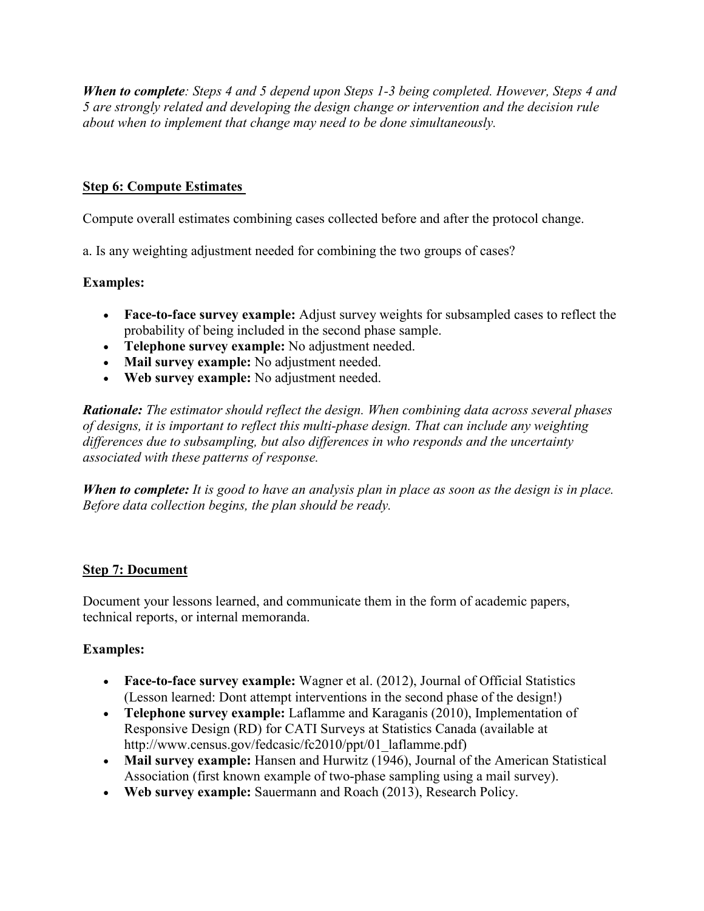*When to complete: Steps 4 and 5 depend upon Steps 1-3 being completed. However, Steps 4 and 5 are strongly related and developing the design change or intervention and the decision rule about when to implement that change may need to be done simultaneously.*

## **Step 6: Compute Estimates**

Compute overall estimates combining cases collected before and after the protocol change.

a. Is any weighting adjustment needed for combining the two groups of cases?

## **Examples:**

- **Face-to-face survey example:** Adjust survey weights for subsampled cases to reflect the probability of being included in the second phase sample.
- **Telephone survey example:** No adjustment needed.
- **Mail survey example:** No adjustment needed.
- **Web survey example:** No adjustment needed.

*Rationale: The estimator should reflect the design. When combining data across several phases of designs, it is important to reflect this multi-phase design. That can include any weighting differences due to subsampling, but also differences in who responds and the uncertainty associated with these patterns of response.*

*When to complete: It is good to have an analysis plan in place as soon as the design is in place. Before data collection begins, the plan should be ready.*

#### **Step 7: Document**

Document your lessons learned, and communicate them in the form of academic papers, technical reports, or internal memoranda.

## **Examples:**

- **Face-to-face survey example:** Wagner et al. (2012), Journal of Official Statistics (Lesson learned: Dont attempt interventions in the second phase of the design!)
- **Telephone survey example:** Laflamme and Karaganis (2010), Implementation of Responsive Design (RD) for CATI Surveys at Statistics Canada (available at http://www.census.gov/fedcasic/fc2010/ppt/01\_laflamme.pdf)
- Mail survey example: Hansen and Hurwitz (1946), Journal of the American Statistical Association (first known example of two-phase sampling using a mail survey).
- **Web survey example:** Sauermann and Roach (2013), Research Policy.